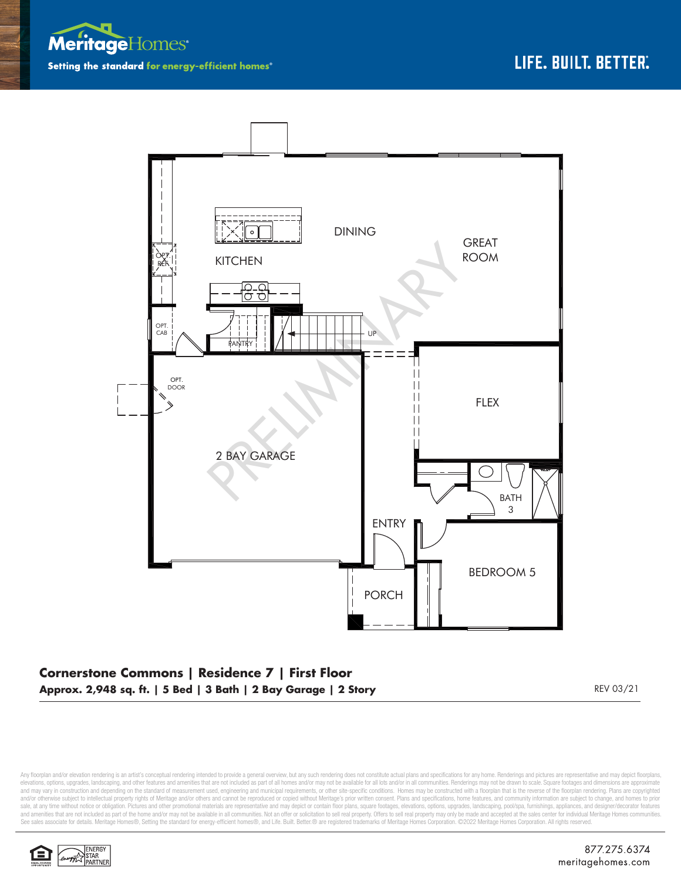



## **Cornerstone Commons | Residence 7 | First Floor Approx. 2,948 sq. ft. | 5 Bed | 3 Bath | 2 Bay Garage | 2 Story** REV 03/21

Any floorplan and/or elevation rendering is an artist's conceptual rendering intended to provide a general overview, but any such rendering does not constitute actual plans and specifications for any home. Renderings and p elevations, options, upgrades, landscaping, and other features and amenities that are not included as part of all homes and/or may not be available for all lots and/or in all communities. Renderings may not be drawn to sca and may vary in construction and depending on the standard of measurement used, engineering and municipal requirements, or other site-specific conditions. Homes may be constructed with a floorplan that is the reverse of th and/or otherwise subject to intellectual property rights of Meritage and/or others and cannot be reproduced or copied without Meritage's prior written consent. Plans and specifications, home features, and community informa sale, at any time without notice or obligation. Pictures and other promotional materials are representative and may depict or contain floor plans, square footages, elevations, options, upgrades, landscaping, pool/spa, furn See sales associate for details. Meritage Homes®, Setting the standard for energy-efficient homes®, and Life. Built. Better. @ are registered trademarks of Meritage Homes Corporation. ©2022 Meritage Homes Corporation. All